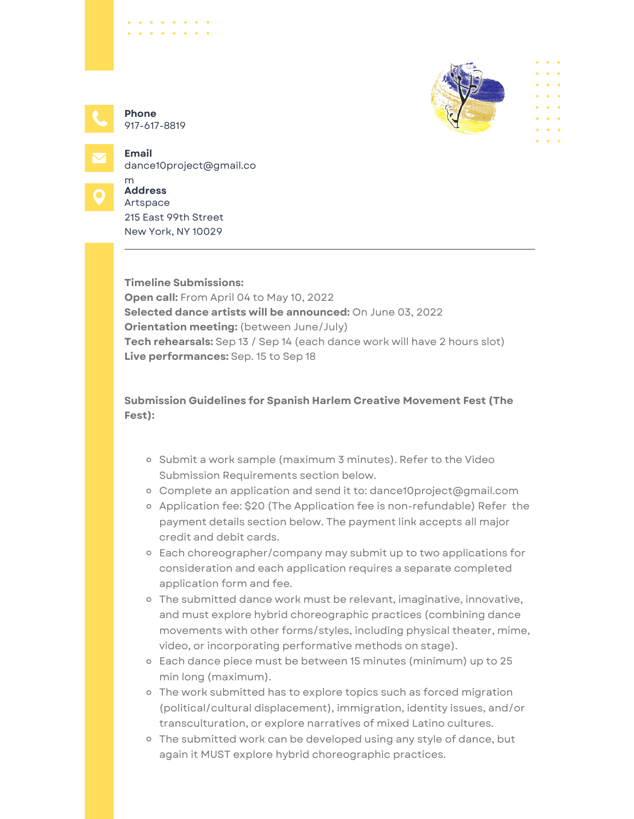

917-617-8819 **Phone**

*Charles Allen* 

**Email**



dance10project@gmail.co m **Address**

Artspace 215 East 99th Street New York, NY 10029

**Timeline Submissions: Open call:** From April 04 to May 10, 2022 **Selected dance artists will be announced:** On June 03, 2022 **Orientation meeting:** (between June/July) **Tech rehearsals:** Sep 13 / Sep 14 (each dance work will have 2 hours slot) **Live performances:** Sep. 15 to Sep 18

**Submission Guidelines for Spanish Harlem Creative Movement Fest (The Fest):**

- o Submit a work sample (maximum 3 minutes). Refer to the Video Submission Requirements section below.
- Complete an application and send it to: [dance10project@gmail.com](mailto:dance10project@gmail.com)
- <sup>o</sup> Application fee: \$20 (The Application fee is non-refundable) Refer the payment details section below. The payment link accepts all major credit and debit cards.
- Each choreographer/company may submit up to two applications for consideration and each application requires a separate completed application form and fee.
- o The submitted dance work must be relevant, imaginative, innovative, and must explore hybrid choreographic practices (combining dance movements with other forms/styles, including physical theater, mime, video, or incorporating performative methods on stage).
- Each dance piece must be between 15 minutes (minimum) up to 25 min long (maximum).
- The work submitted has to explore topics such as forced migration (political/cultural displacement), immigration, identity issues, and/or transculturation, or explore narratives of mixed Latino cultures.
- The submitted work can be developed using any style of dance, but again it MUST explore hybrid choreographic practices.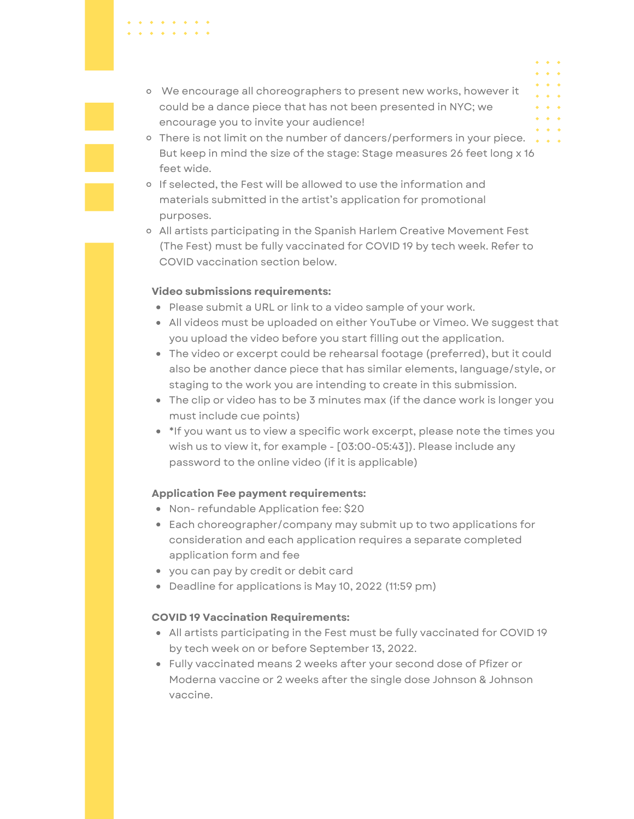- We encourage all choreographers to present new works, however it could be a dance piece that has not been presented in NYC; we encourage you to invite your audience!
- o There is not limit on the number of dancers/performers in your piece... But keep in mind the size of the stage: Stage measures 26 feet long x 16 feet wide.
- o If selected, the Fest will be allowed to use the information and materials submitted in the artist's application for promotional purposes.
- All artists participating in the Spanish Harlem Creative Movement Fest (The Fest) must be fully vaccinated for COVID 19 by tech week. Refer to COVID vaccination section below.

## **Video submissions requirements:**

 $\mathbf{A} = \mathbf{A} \mathbf{A} + \mathbf{A} \mathbf{A} + \mathbf{A} \mathbf{A} + \mathbf{A} \mathbf{A} + \mathbf{A} \mathbf{A} + \mathbf{A} \mathbf{A} + \mathbf{A} \mathbf{A} + \mathbf{A} \mathbf{A} + \mathbf{A} \mathbf{A} + \mathbf{A} \mathbf{A} + \mathbf{A} \mathbf{A} + \mathbf{A} \mathbf{A} + \mathbf{A} \mathbf{A} + \mathbf{A} \mathbf{A} + \mathbf{A} \mathbf{A} + \mathbf{A} \mathbf{A} + \mathbf{A$ 

- Please submit a URL or link to a video sample of your work.
- All videos must be uploaded on either YouTube or Vimeo. We suggest that you upload the video before you start filling out the application.
- The video or excerpt could be rehearsal footage (preferred), but it could also be another dance piece that has similar elements, language/style, or staging to the work you are intending to create in this submission.
- The clip or video has to be 3 minutes max (if the dance work is longer you must include cue points)
- \*If you want us to view a specific work excerpt, please note the times you wish us to view it, for example - [03:00-05:43]). Please include any password to the online video (if it is applicable)

## **Application Fee payment requirements:**

- Non- refundable Application fee: \$20
- Each choreographer/company may submit up to two applications for consideration and each application requires a separate completed application form and fee
- you can pay by credit or debit card
- Deadline for applications is May 10, 2022 (11:59 pm)

## **COVID 19 Vaccination Requirements:**

- All artists participating in the Fest must be fully vaccinated for COVID 19 by tech week on or before September 13, 2022.
- Fully vaccinated means 2 weeks after your second dose of Pfizer or Moderna vaccine or 2 weeks after the single dose Johnson & Johnson vaccine.